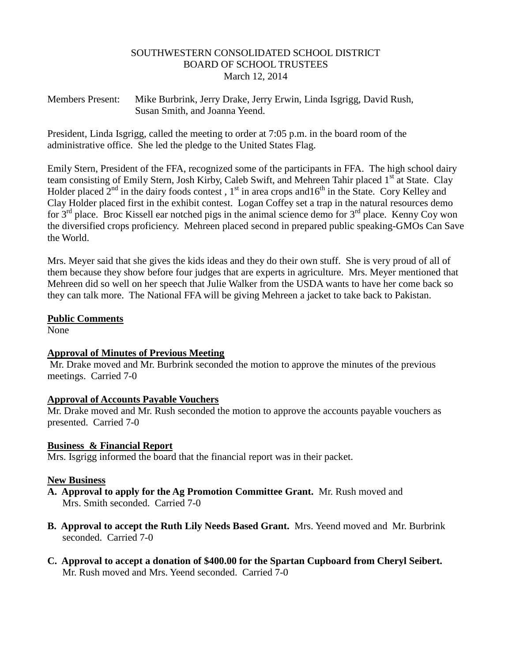#### SOUTHWESTERN CONSOLIDATED SCHOOL DISTRICT BOARD OF SCHOOL TRUSTEES March 12, 2014

Members Present: Mike Burbrink, Jerry Drake, Jerry Erwin, Linda Isgrigg, David Rush, Susan Smith, and Joanna Yeend.

President, Linda Isgrigg, called the meeting to order at 7:05 p.m. in the board room of the administrative office. She led the pledge to the United States Flag.

Emily Stern, President of the FFA, recognized some of the participants in FFA. The high school dairy team consisting of Emily Stern, Josh Kirby, Caleb Swift, and Mehreen Tahir placed 1<sup>st</sup> at State. Clay Holder placed  $2^{nd}$  in the dairy foods contest,  $1^{st}$  in area crops and  $16^{th}$  in the State. Cory Kelley and Clay Holder placed first in the exhibit contest. Logan Coffey set a trap in the natural resources demo for 3<sup>rd</sup> place. Broc Kissell ear notched pigs in the animal science demo for 3<sup>rd</sup> place. Kenny Coy won the diversified crops proficiency. Mehreen placed second in prepared public speaking-GMOs Can Save the World.

Mrs. Meyer said that she gives the kids ideas and they do their own stuff. She is very proud of all of them because they show before four judges that are experts in agriculture. Mrs. Meyer mentioned that Mehreen did so well on her speech that Julie Walker from the USDA wants to have her come back so they can talk more. The National FFA will be giving Mehreen a jacket to take back to Pakistan.

#### **Public Comments**

None

# **Approval of Minutes of Previous Meeting**

Mr. Drake moved and Mr. Burbrink seconded the motion to approve the minutes of the previous meetings. Carried 7-0

#### **Approval of Accounts Payable Vouchers**

Mr. Drake moved and Mr. Rush seconded the motion to approve the accounts payable vouchers as presented. Carried 7-0

# **Business & Financial Report**

Mrs. Isgrigg informed the board that the financial report was in their packet.

#### **New Business**

- **A. Approval to apply for the Ag Promotion Committee Grant.** Mr. Rush moved and Mrs. Smith seconded. Carried 7-0
- **B. Approval to accept the Ruth Lily Needs Based Grant.** Mrs. Yeend moved and Mr. Burbrink seconded. Carried 7-0
- **C. Approval to accept a donation of \$400.00 for the Spartan Cupboard from Cheryl Seibert.** Mr. Rush moved and Mrs. Yeend seconded. Carried 7-0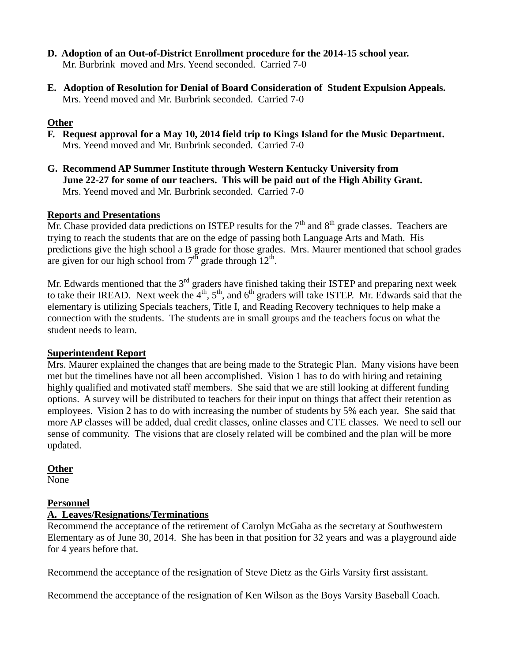- **D. Adoption of an Out-of-District Enrollment procedure for the 2014-15 school year.** Mr. Burbrink moved and Mrs. Yeend seconded. Carried 7-0
- **E. Adoption of Resolution for Denial of Board Consideration of Student Expulsion Appeals.** Mrs. Yeend moved and Mr. Burbrink seconded. Carried 7-0

# **Other**

- **F. Request approval for a May 10, 2014 field trip to Kings Island for the Music Department.** Mrs. Yeend moved and Mr. Burbrink seconded. Carried 7-0
- **G. Recommend AP Summer Institute through Western Kentucky University from June 22-27 for some of our teachers. This will be paid out of the High Ability Grant.** Mrs. Yeend moved and Mr. Burbrink seconded. Carried 7-0

# **Reports and Presentations**

Mr. Chase provided data predictions on ISTEP results for the  $7<sup>th</sup>$  and  $8<sup>th</sup>$  grade classes. Teachers are trying to reach the students that are on the edge of passing both Language Arts and Math. His predictions give the high school a B grade for those grades. Mrs. Maurer mentioned that school grades are given for our high school from  $7<sup>th</sup>$  grade through  $12<sup>th</sup>$ .

Mr. Edwards mentioned that the  $3<sup>rd</sup>$  graders have finished taking their ISTEP and preparing next week to take their IREAD. Next week the  $4<sup>th</sup>$ ,  $5<sup>th</sup>$ , and  $6<sup>th</sup>$  graders will take ISTEP. Mr. Edwards said that the elementary is utilizing Specials teachers, Title I, and Reading Recovery techniques to help make a connection with the students. The students are in small groups and the teachers focus on what the student needs to learn.

# **Superintendent Report**

Mrs. Maurer explained the changes that are being made to the Strategic Plan. Many visions have been met but the timelines have not all been accomplished. Vision 1 has to do with hiring and retaining highly qualified and motivated staff members. She said that we are still looking at different funding options. A survey will be distributed to teachers for their input on things that affect their retention as employees. Vision 2 has to do with increasing the number of students by 5% each year. She said that more AP classes will be added, dual credit classes, online classes and CTE classes. We need to sell our sense of community. The visions that are closely related will be combined and the plan will be more updated.

# **Other**

None

# **Personnel**

# **A. Leaves/Resignations/Terminations**

Recommend the acceptance of the retirement of Carolyn McGaha as the secretary at Southwestern Elementary as of June 30, 2014. She has been in that position for 32 years and was a playground aide for 4 years before that.

Recommend the acceptance of the resignation of Steve Dietz as the Girls Varsity first assistant.

Recommend the acceptance of the resignation of Ken Wilson as the Boys Varsity Baseball Coach.